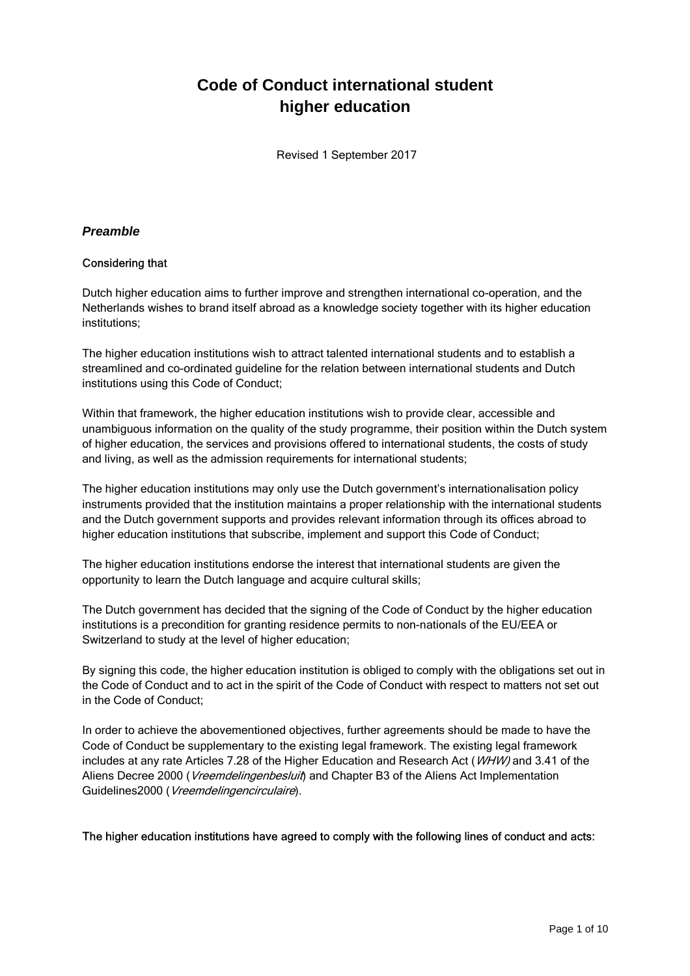# **Code of Conduct international student higher education**

Revised 1 September 2017

## **Preamble**

## Considering that

Dutch higher education aims to further improve and strengthen international co-operation, and the Netherlands wishes to brand itself abroad as a knowledge society together with its higher education institutions;

The higher education institutions wish to attract talented international students and to establish a streamlined and co-ordinated guideline for the relation between international students and Dutch institutions using this Code of Conduct;

Within that framework, the higher education institutions wish to provide clear, accessible and unambiguous information on the quality of the study programme, their position within the Dutch system of higher education, the services and provisions offered to international students, the costs of study and living, as well as the admission requirements for international students;

The higher education institutions may only use the Dutch government's internationalisation policy instruments provided that the institution maintains a proper relationship with the international students and the Dutch government supports and provides relevant information through its offices abroad to higher education institutions that subscribe, implement and support this Code of Conduct;

The higher education institutions endorse the interest that international students are given the opportunity to learn the Dutch language and acquire cultural skills;

The Dutch government has decided that the signing of the Code of Conduct by the higher education institutions is a precondition for granting residence permits to non-nationals of the EU/EEA or Switzerland to study at the level of higher education;

By signing this code, the higher education institution is obliged to comply with the obligations set out in the Code of Conduct and to act in the spirit of the Code of Conduct with respect to matters not set out in the Code of Conduct;

In order to achieve the abovementioned objectives, further agreements should be made to have the Code of Conduct be supplementary to the existing legal framework. The existing legal framework includes at any rate Articles 7.28 of the Higher Education and Research Act (WHW) and 3.41 of the Aliens Decree 2000 (*Vreemdelingenbesluit*) and Chapter B3 of the Aliens Act Implementation Guidelines2000 (Vreemdelingencirculaire).

The higher education institutions have agreed to comply with the following lines of conduct and acts: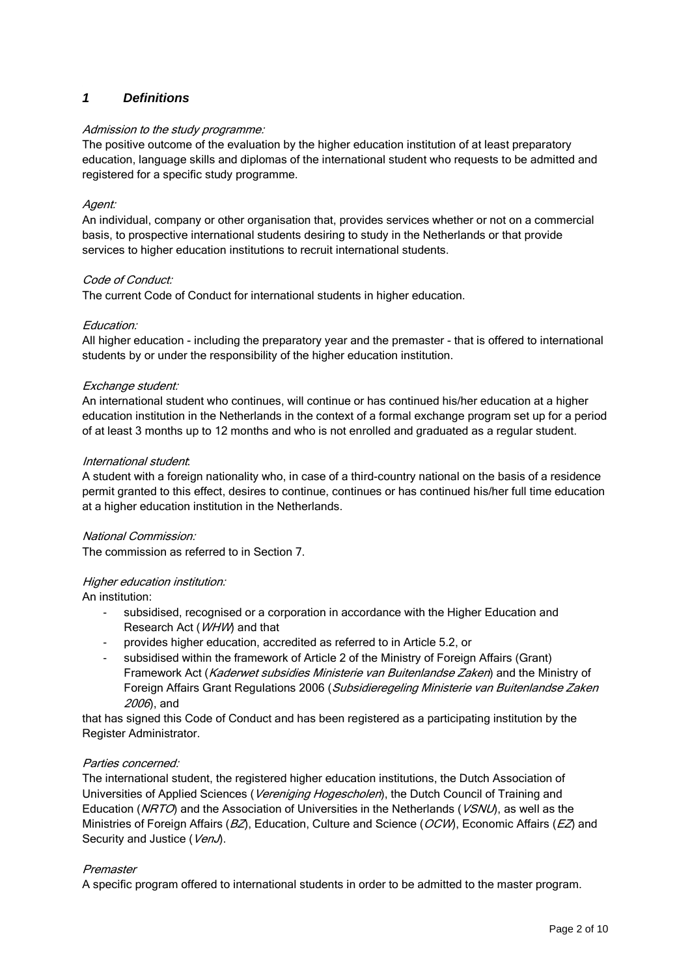# **1 Definitions**

## Admission to the study programme:

The positive outcome of the evaluation by the higher education institution of at least preparatory education, language skills and diplomas of the international student who requests to be admitted and registered for a specific study programme.

#### Agent:

An individual, company or other organisation that, provides services whether or not on a commercial basis, to prospective international students desiring to study in the Netherlands or that provide services to higher education institutions to recruit international students.

#### Code of Conduct:

The current Code of Conduct for international students in higher education.

#### Education:

All higher education - including the preparatory year and the premaster - that is offered to international students by or under the responsibility of the higher education institution.

#### Exchange student:

An international student who continues, will continue or has continued his/her education at a higher education institution in the Netherlands in the context of a formal exchange program set up for a period of at least 3 months up to 12 months and who is not enrolled and graduated as a regular student.

#### International student:

A student with a foreign nationality who, in case of a third-country national on the basis of a residence permit granted to this effect, desires to continue, continues or has continued his/her full time education at a higher education institution in the Netherlands.

#### National Commission:

The commission as referred to in Section 7.

## Higher education institution:

An institution:

- subsidised, recognised or a corporation in accordance with the Higher Education and Research Act (WHW) and that
- provides higher education, accredited as referred to in Article 5.2, or
- subsidised within the framework of Article 2 of the Ministry of Foreign Affairs (Grant) Framework Act (Kaderwet subsidies Ministerie van Buitenlandse Zaken) and the Ministry of Foreign Affairs Grant Regulations 2006 (Subsidieregeling Ministerie van Buitenlandse Zaken 2006), and

that has signed this Code of Conduct and has been registered as a participating institution by the Register Administrator.

## Parties concerned:

The international student, the registered higher education institutions, the Dutch Association of Universities of Applied Sciences (Vereniging Hogescholen), the Dutch Council of Training and Education (NRTO) and the Association of Universities in the Netherlands (VSNU), as well as the Ministries of Foreign Affairs ( $BZ$ ), Education, Culture and Science ( $OCW$ ), Economic Affairs ( $EZ$ ) and Security and Justice (VenJ).

## Premaster

A specific program offered to international students in order to be admitted to the master program.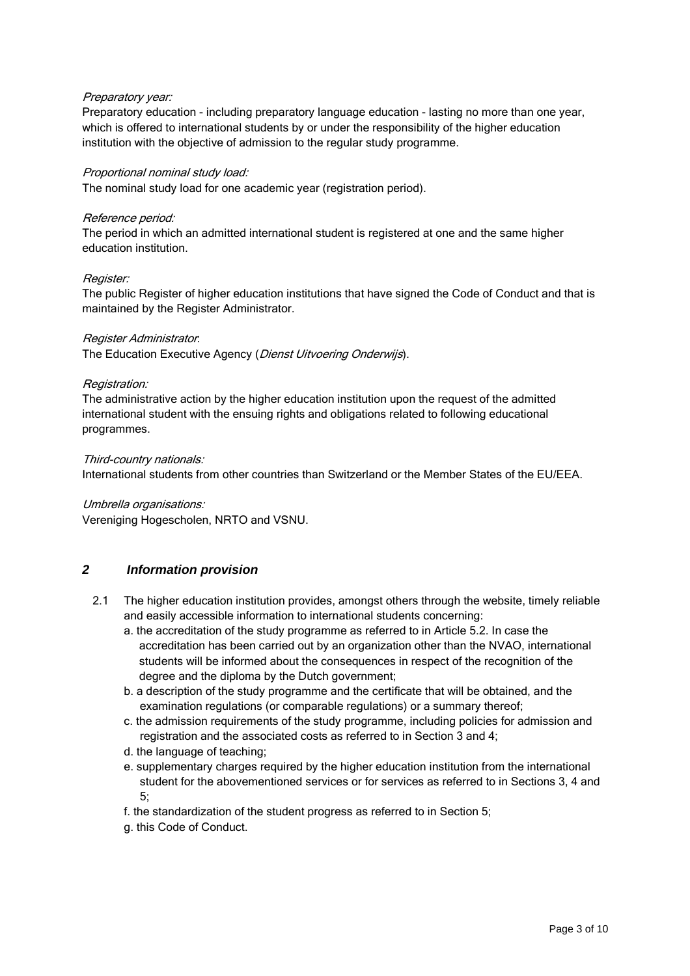#### Preparatory year:

Preparatory education - including preparatory language education - lasting no more than one year, which is offered to international students by or under the responsibility of the higher education institution with the objective of admission to the regular study programme.

#### Proportional nominal study load:

The nominal study load for one academic year (registration period).

#### Reference period:

The period in which an admitted international student is registered at one and the same higher education institution.

#### Register:

The public Register of higher education institutions that have signed the Code of Conduct and that is maintained by the Register Administrator.

#### Register Administrator:

The Education Executive Agency (Dienst Uitvoering Onderwijs).

#### Registration:

The administrative action by the higher education institution upon the request of the admitted international student with the ensuing rights and obligations related to following educational programmes.

#### Third-country nationals:

International students from other countries than Switzerland or the Member States of the EU/EEA.

#### Umbrella organisations:

Vereniging Hogescholen, NRTO and VSNU.

## **2 Information provision**

- 2.1 The higher education institution provides, amongst others through the website, timely reliable and easily accessible information to international students concerning:
	- a. the accreditation of the study programme as referred to in Article 5.2. In case the accreditation has been carried out by an organization other than the NVAO, international students will be informed about the consequences in respect of the recognition of the degree and the diploma by the Dutch government;
	- b. a description of the study programme and the certificate that will be obtained, and the examination regulations (or comparable regulations) or a summary thereof;
	- c. the admission requirements of the study programme, including policies for admission and registration and the associated costs as referred to in Section 3 and 4;
	- d. the language of teaching;
	- e. supplementary charges required by the higher education institution from the international student for the abovementioned services or for services as referred to in Sections 3, 4 and 5;
	- f. the standardization of the student progress as referred to in Section 5;
	- g. this Code of Conduct.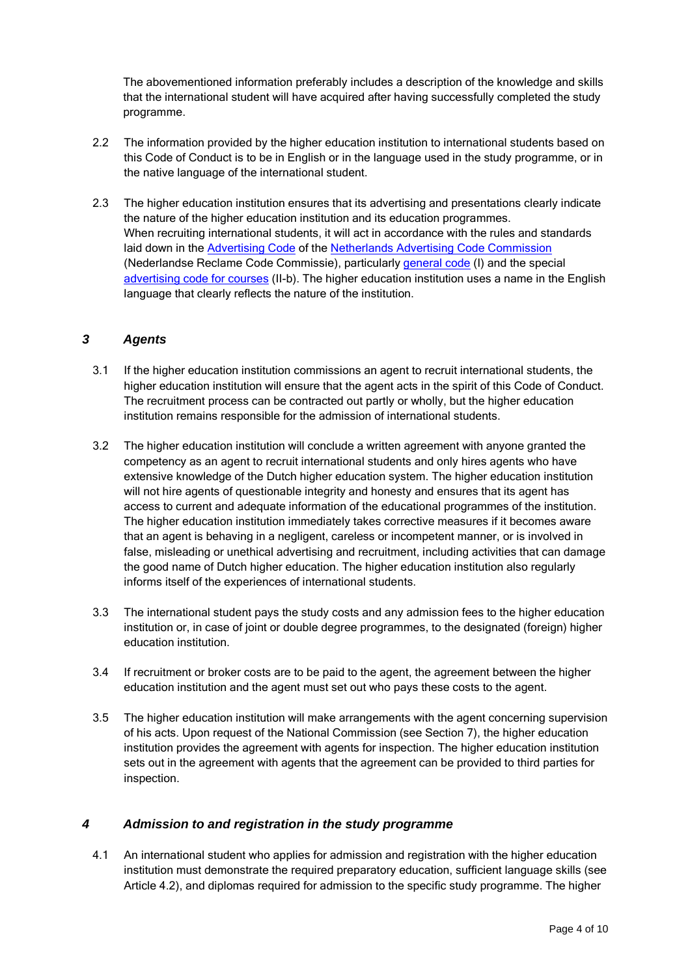The abovementioned information preferably includes a description of the knowledge and skills that the international student will have acquired after having successfully completed the study programme.

- 2.2 The information provided by the higher education institution to international students based on this Code of Conduct is to be in English or in the language used in the study programme, or in the native language of the international student.
- 2.3 The higher education institution ensures that its advertising and presentations clearly indicate the nature of the higher education institution and its education programmes. When recruiting international students, it will act in accordance with the rules and standards laid down in the Advertising Code of the Netherlands Advertising Code Commission (Nederlandse Reclame Code Commissie), particularly general code (I) and the special advertising code for courses (II-b). The higher education institution uses a name in the English language that clearly reflects the nature of the institution.

## **3 Agents**

- 3.1 If the higher education institution commissions an agent to recruit international students, the higher education institution will ensure that the agent acts in the spirit of this Code of Conduct. The recruitment process can be contracted out partly or wholly, but the higher education institution remains responsible for the admission of international students.
- 3.2 The higher education institution will conclude a written agreement with anyone granted the competency as an agent to recruit international students and only hires agents who have extensive knowledge of the Dutch higher education system. The higher education institution will not hire agents of questionable integrity and honesty and ensures that its agent has access to current and adequate information of the educational programmes of the institution. The higher education institution immediately takes corrective measures if it becomes aware that an agent is behaving in a negligent, careless or incompetent manner, or is involved in false, misleading or unethical advertising and recruitment, including activities that can damage the good name of Dutch higher education. The higher education institution also regularly informs itself of the experiences of international students.
- 3.3 The international student pays the study costs and any admission fees to the higher education institution or, in case of joint or double degree programmes, to the designated (foreign) higher education institution.
- 3.4 If recruitment or broker costs are to be paid to the agent, the agreement between the higher education institution and the agent must set out who pays these costs to the agent.
- 3.5 The higher education institution will make arrangements with the agent concerning supervision of his acts. Upon request of the National Commission (see Section 7), the higher education institution provides the agreement with agents for inspection. The higher education institution sets out in the agreement with agents that the agreement can be provided to third parties for inspection.

## **4 Admission to and registration in the study programme**

4.1 An international student who applies for admission and registration with the higher education institution must demonstrate the required preparatory education, sufficient language skills (see Article 4.2), and diplomas required for admission to the specific study programme. The higher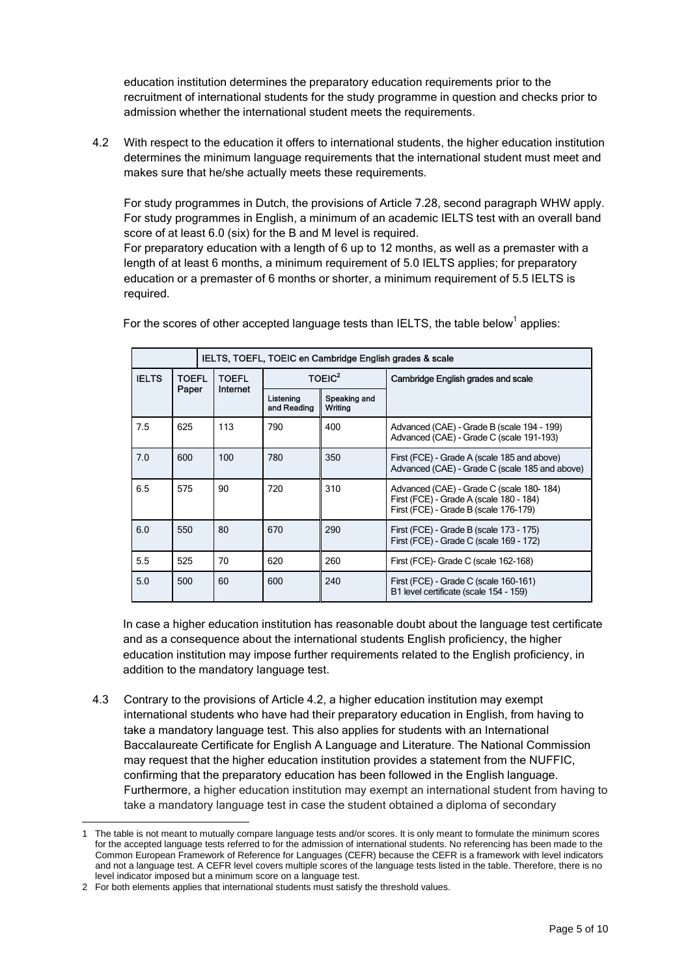education institution determines the preparatory education requirements prior to the recruitment of international students for the study programme in question and checks prior to admission whether the international student meets the requirements.

4.2 With respect to the education it offers to international students, the higher education institution determines the minimum language requirements that the international student must meet and makes sure that he/she actually meets these requirements.

 For study programmes in Dutch, the provisions of Article 7.28, second paragraph WHW apply. For study programmes in English, a minimum of an academic IELTS test with an overall band score of at least 6.0 (six) for the B and M level is required.

 For preparatory education with a length of 6 up to 12 months, as well as a premaster with a length of at least 6 months, a minimum requirement of 5.0 IELTS applies; for preparatory education or a premaster of 6 months or shorter, a minimum requirement of 5.5 IELTS is required.

|              |                |  | IELTS, TOEFL, TOEIC en Cambridge English grades & scale |                          |                         |                                                                                                                              |
|--------------|----------------|--|---------------------------------------------------------|--------------------------|-------------------------|------------------------------------------------------------------------------------------------------------------------------|
| <b>IELTS</b> | TOEFL<br>Paper |  | <b>TOEFL</b><br>Internet                                | TOEIC <sup>2</sup>       |                         | Cambridge English grades and scale                                                                                           |
|              |                |  |                                                         | Listening<br>and Reading | Speaking and<br>Writing |                                                                                                                              |
| 7.5          | 625            |  | 113                                                     | 790                      | 400                     | Advanced (CAE) - Grade B (scale 194 - 199)<br>Advanced (CAE) - Grade C (scale 191-193)                                       |
| 7.0          | 600            |  | 100                                                     | 780                      | 350                     | First (FCE) - Grade A (scale 185 and above)<br>Advanced (CAE) - Grade C (scale 185 and above)                                |
| 6.5          | 575            |  | 90                                                      | 720                      | 310                     | Advanced (CAE) - Grade C (scale 180-184)<br>First (FCE) - Grade A (scale 180 - 184)<br>First (FCE) - Grade B (scale 176-179) |
| 6.0          | 550            |  | 80                                                      | 670                      | 290                     | First (FCE) - Grade B (scale 173 - 175)<br>First (FCE) - Grade C (scale 169 - 172)                                           |
| 5.5          | 525            |  | 70                                                      | 620                      | 260                     | First (FCE)- Grade C (scale 162-168)                                                                                         |
| 5.0          | 500            |  | 60                                                      | 600                      | 240                     | First (FCE) - Grade C (scale 160-161)<br>B1 level certificate (scale 154 - 159)                                              |

For the scores of other accepted language tests than IELTS, the table below<sup>1</sup> applies:

In case a higher education institution has reasonable doubt about the language test certificate and as a consequence about the international students English proficiency, the higher education institution may impose further requirements related to the English proficiency, in addition to the mandatory language test.

4.3 Contrary to the provisions of Article 4.2, a higher education institution may exempt international students who have had their preparatory education in English, from having to take a mandatory language test. This also applies for students with an International Baccalaureate Certificate for English A Language and Literature. The National Commission may request that the higher education institution provides a statement from the NUFFIC, confirming that the preparatory education has been followed in the English language. Furthermore, a higher education institution may exempt an international student from having to take a mandatory language test in case the student obtained a diploma of secondary

 $\overline{a}$ 

The table is not meant to mutually compare language tests and/or scores. It is only meant to formulate the minimum scores for the accepted language tests referred to for the admission of international students. No referencing has been made to the Common European Framework of Reference for Languages (CEFR) because the CEFR is a framework with level indicators and not a language test. A CEFR level covers multiple scores of the language tests listed in the table. Therefore, there is no level indicator imposed but a minimum score on a language test.

<sup>2</sup> For both elements applies that international students must satisfy the threshold values.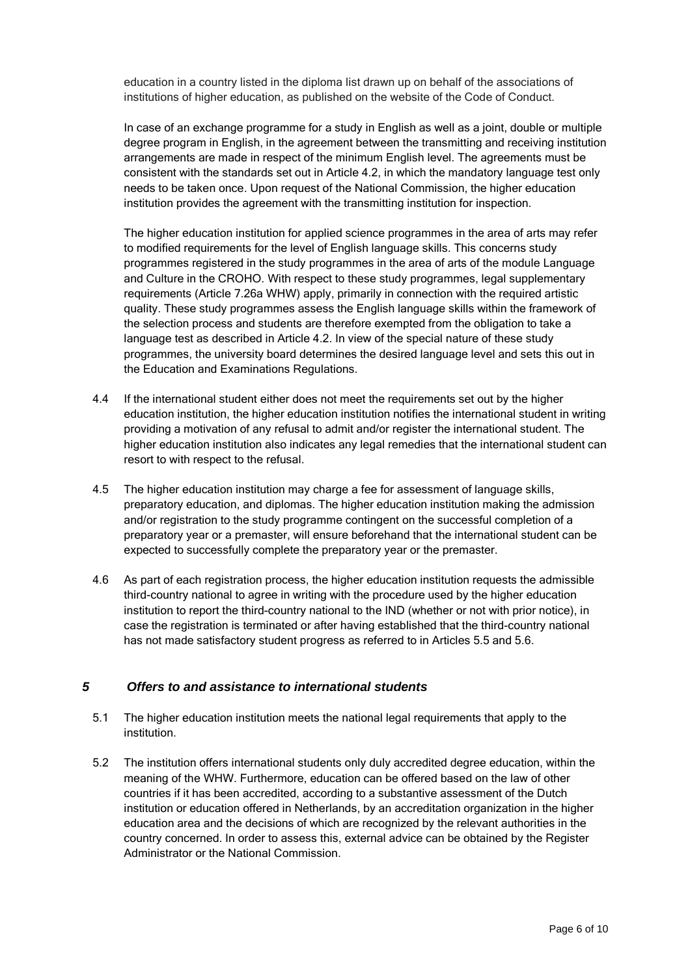education in a country listed in the diploma list drawn up on behalf of the associations of institutions of higher education, as published on the website of the Code of Conduct.

 In case of an exchange programme for a study in English as well as a joint, double or multiple degree program in English, in the agreement between the transmitting and receiving institution arrangements are made in respect of the minimum English level. The agreements must be consistent with the standards set out in Article 4.2, in which the mandatory language test only needs to be taken once. Upon request of the National Commission, the higher education institution provides the agreement with the transmitting institution for inspection.

 The higher education institution for applied science programmes in the area of arts may refer to modified requirements for the level of English language skills. This concerns study programmes registered in the study programmes in the area of arts of the module Language and Culture in the CROHO. With respect to these study programmes, legal supplementary requirements (Article 7.26a WHW) apply, primarily in connection with the required artistic quality. These study programmes assess the English language skills within the framework of the selection process and students are therefore exempted from the obligation to take a language test as described in Article 4.2. In view of the special nature of these study programmes, the university board determines the desired language level and sets this out in the Education and Examinations Regulations.

- 4.4 If the international student either does not meet the requirements set out by the higher education institution, the higher education institution notifies the international student in writing providing a motivation of any refusal to admit and/or register the international student. The higher education institution also indicates any legal remedies that the international student can resort to with respect to the refusal.
- 4.5 The higher education institution may charge a fee for assessment of language skills, preparatory education, and diplomas. The higher education institution making the admission and/or registration to the study programme contingent on the successful completion of a preparatory year or a premaster, will ensure beforehand that the international student can be expected to successfully complete the preparatory year or the premaster.
- 4.6 As part of each registration process, the higher education institution requests the admissible third-country national to agree in writing with the procedure used by the higher education institution to report the third-country national to the IND (whether or not with prior notice), in case the registration is terminated or after having established that the third-country national has not made satisfactory student progress as referred to in Articles 5.5 and 5.6.

## **5 Offers to and assistance to international students**

- 5.1 The higher education institution meets the national legal requirements that apply to the institution.
- 5.2 The institution offers international students only duly accredited degree education, within the meaning of the WHW. Furthermore, education can be offered based on the law of other countries if it has been accredited, according to a substantive assessment of the Dutch institution or education offered in Netherlands, by an accreditation organization in the higher education area and the decisions of which are recognized by the relevant authorities in the country concerned. In order to assess this, external advice can be obtained by the Register Administrator or the National Commission.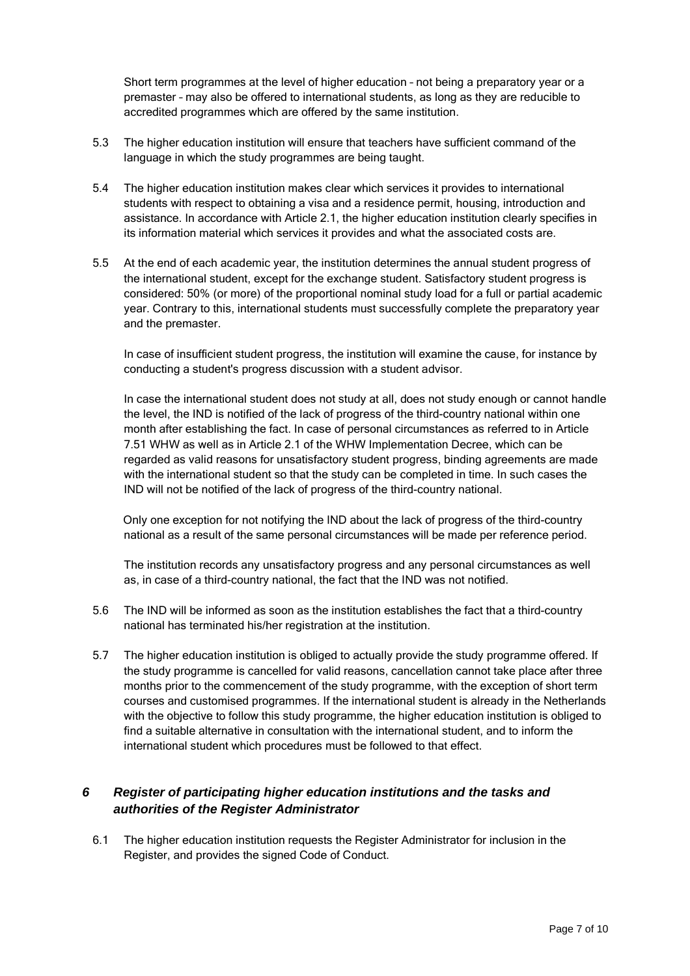Short term programmes at the level of higher education – not being a preparatory year or a premaster – may also be offered to international students, as long as they are reducible to accredited programmes which are offered by the same institution.

- 5.3 The higher education institution will ensure that teachers have sufficient command of the language in which the study programmes are being taught.
- 5.4 The higher education institution makes clear which services it provides to international students with respect to obtaining a visa and a residence permit, housing, introduction and assistance. In accordance with Article 2.1, the higher education institution clearly specifies in its information material which services it provides and what the associated costs are.
- 5.5 At the end of each academic year, the institution determines the annual student progress of the international student, except for the exchange student. Satisfactory student progress is considered: 50% (or more) of the proportional nominal study load for a full or partial academic year. Contrary to this, international students must successfully complete the preparatory year and the premaster.

 In case of insufficient student progress, the institution will examine the cause, for instance by conducting a student's progress discussion with a student advisor.

 In case the international student does not study at all, does not study enough or cannot handle the level, the IND is notified of the lack of progress of the third-country national within one month after establishing the fact. In case of personal circumstances as referred to in Article 7.51 WHW as well as in Article 2.1 of the WHW Implementation Decree, which can be regarded as valid reasons for unsatisfactory student progress, binding agreements are made with the international student so that the study can be completed in time. In such cases the IND will not be notified of the lack of progress of the third-country national.

Only one exception for not notifying the IND about the lack of progress of the third-country national as a result of the same personal circumstances will be made per reference period.

 The institution records any unsatisfactory progress and any personal circumstances as well as, in case of a third-country national, the fact that the IND was not notified.

- 5.6 The IND will be informed as soon as the institution establishes the fact that a third-country national has terminated his/her registration at the institution.
- 5.7 The higher education institution is obliged to actually provide the study programme offered. If the study programme is cancelled for valid reasons, cancellation cannot take place after three months prior to the commencement of the study programme, with the exception of short term courses and customised programmes. If the international student is already in the Netherlands with the objective to follow this study programme, the higher education institution is obliged to find a suitable alternative in consultation with the international student, and to inform the international student which procedures must be followed to that effect.

# **6 Register of participating higher education institutions and the tasks and authorities of the Register Administrator**

6.1 The higher education institution requests the Register Administrator for inclusion in the Register, and provides the signed Code of Conduct.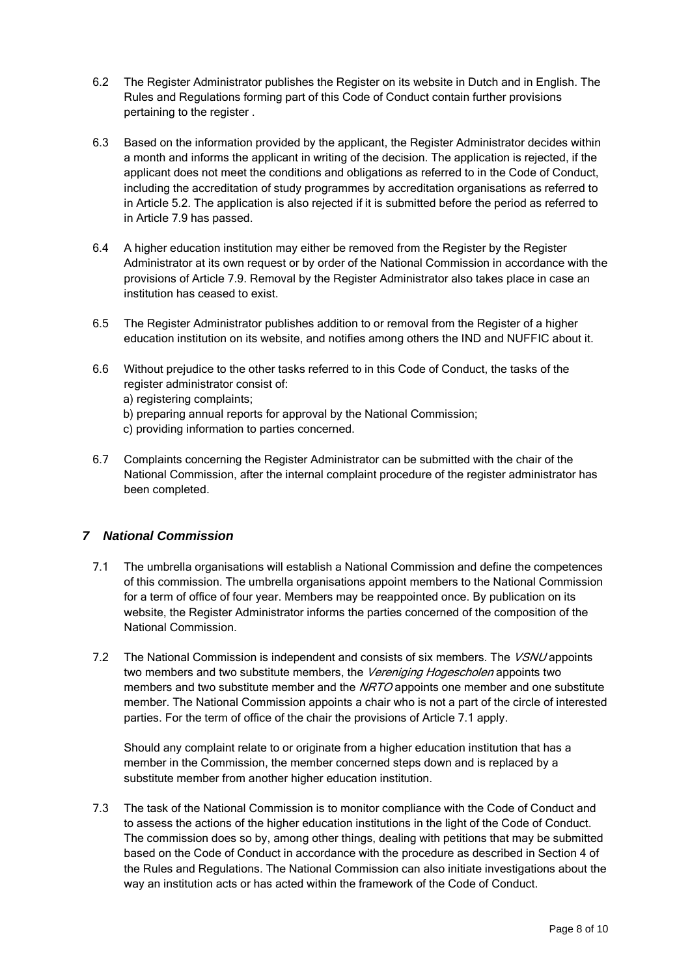- 6.2 The Register Administrator publishes the Register on its website in Dutch and in English. The Rules and Regulations forming part of this Code of Conduct contain further provisions pertaining to the register .
- 6.3 Based on the information provided by the applicant, the Register Administrator decides within a month and informs the applicant in writing of the decision. The application is rejected, if the applicant does not meet the conditions and obligations as referred to in the Code of Conduct, including the accreditation of study programmes by accreditation organisations as referred to in Article 5.2. The application is also rejected if it is submitted before the period as referred to in Article 7.9 has passed.
- 6.4 A higher education institution may either be removed from the Register by the Register Administrator at its own request or by order of the National Commission in accordance with the provisions of Article 7.9. Removal by the Register Administrator also takes place in case an institution has ceased to exist.
- 6.5 The Register Administrator publishes addition to or removal from the Register of a higher education institution on its website, and notifies among others the IND and NUFFIC about it.
- 6.6 Without prejudice to the other tasks referred to in this Code of Conduct, the tasks of the register administrator consist of:
	- a) registering complaints;
	- b) preparing annual reports for approval by the National Commission;
	- c) providing information to parties concerned.
- 6.7 Complaints concerning the Register Administrator can be submitted with the chair of the National Commission, after the internal complaint procedure of the register administrator has been completed.

## **7 National Commission**

- 7.1 The umbrella organisations will establish a National Commission and define the competences of this commission. The umbrella organisations appoint members to the National Commission for a term of office of four year. Members may be reappointed once. By publication on its website, the Register Administrator informs the parties concerned of the composition of the National Commission.
- 7.2 The National Commission is independent and consists of six members. The VSNU appoints two members and two substitute members, the Vereniging Hogescholen appoints two members and two substitute member and the NRTO appoints one member and one substitute member. The National Commission appoints a chair who is not a part of the circle of interested parties. For the term of office of the chair the provisions of Article 7.1 apply.

 Should any complaint relate to or originate from a higher education institution that has a member in the Commission, the member concerned steps down and is replaced by a substitute member from another higher education institution.

7.3 The task of the National Commission is to monitor compliance with the Code of Conduct and to assess the actions of the higher education institutions in the light of the Code of Conduct. The commission does so by, among other things, dealing with petitions that may be submitted based on the Code of Conduct in accordance with the procedure as described in Section 4 of the Rules and Regulations. The National Commission can also initiate investigations about the way an institution acts or has acted within the framework of the Code of Conduct.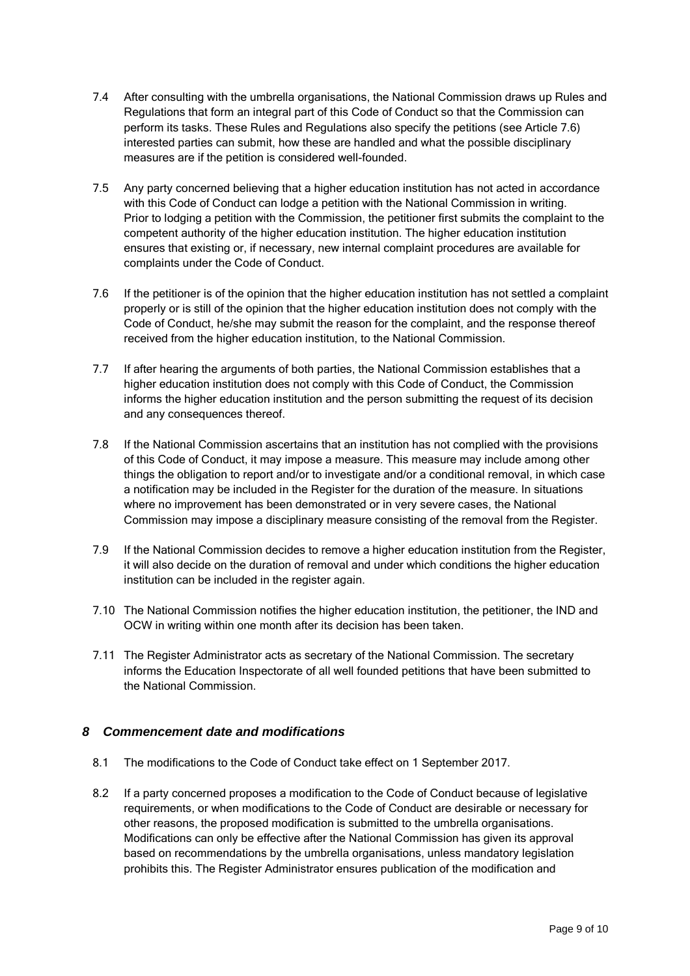- 7.4 After consulting with the umbrella organisations, the National Commission draws up Rules and Regulations that form an integral part of this Code of Conduct so that the Commission can perform its tasks. These Rules and Regulations also specify the petitions (see Article 7.6) interested parties can submit, how these are handled and what the possible disciplinary measures are if the petition is considered well-founded.
- 7.5 Any party concerned believing that a higher education institution has not acted in accordance with this Code of Conduct can lodge a petition with the National Commission in writing. Prior to lodging a petition with the Commission, the petitioner first submits the complaint to the competent authority of the higher education institution. The higher education institution ensures that existing or, if necessary, new internal complaint procedures are available for complaints under the Code of Conduct.
- 7.6 If the petitioner is of the opinion that the higher education institution has not settled a complaint properly or is still of the opinion that the higher education institution does not comply with the Code of Conduct, he/she may submit the reason for the complaint, and the response thereof received from the higher education institution, to the National Commission.
- 7.7 If after hearing the arguments of both parties, the National Commission establishes that a higher education institution does not comply with this Code of Conduct, the Commission informs the higher education institution and the person submitting the request of its decision and any consequences thereof.
- 7.8 If the National Commission ascertains that an institution has not complied with the provisions of this Code of Conduct, it may impose a measure. This measure may include among other things the obligation to report and/or to investigate and/or a conditional removal, in which case a notification may be included in the Register for the duration of the measure. In situations where no improvement has been demonstrated or in very severe cases, the National Commission may impose a disciplinary measure consisting of the removal from the Register.
- 7.9 If the National Commission decides to remove a higher education institution from the Register, it will also decide on the duration of removal and under which conditions the higher education institution can be included in the register again.
- 7.10 The National Commission notifies the higher education institution, the petitioner, the IND and OCW in writing within one month after its decision has been taken.
- 7.11 The Register Administrator acts as secretary of the National Commission. The secretary informs the Education Inspectorate of all well founded petitions that have been submitted to the National Commission.

## **8 Commencement date and modifications**

- 8.1 The modifications to the Code of Conduct take effect on 1 September 2017.
- 8.2 If a party concerned proposes a modification to the Code of Conduct because of legislative requirements, or when modifications to the Code of Conduct are desirable or necessary for other reasons, the proposed modification is submitted to the umbrella organisations. Modifications can only be effective after the National Commission has given its approval based on recommendations by the umbrella organisations, unless mandatory legislation prohibits this. The Register Administrator ensures publication of the modification and